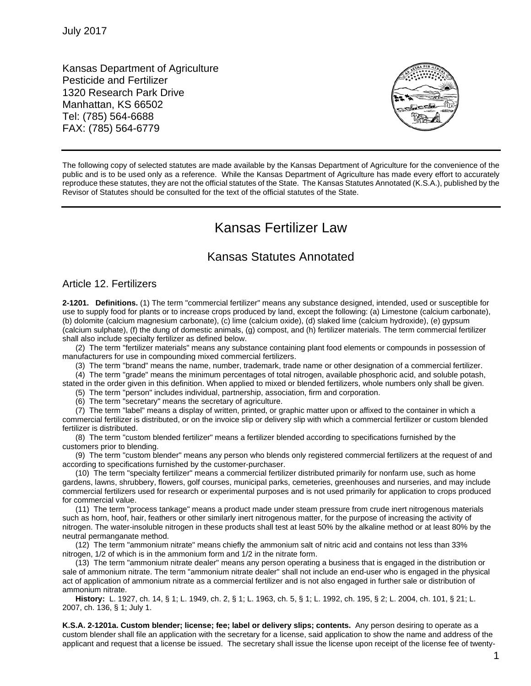Kansas Department of Agriculture Pesticide and Fertilizer 1320 Research Park Drive Manhattan, KS 66502 Tel: (785) 564-6688 FAX: (785) 564-6779



The following copy of selected statutes are made available by the Kansas Department of Agriculture for the convenience of the public and is to be used only as a reference. While the Kansas Department of Agriculture has made every effort to accurately reproduce these statutes, they are not the official statutes of the State. The Kansas Statutes Annotated (K.S.A.), published by the Revisor of Statutes should be consulted for the text of the official statutes of the State.

# Kansas Fertilizer Law

# Kansas Statutes Annotated

## Article 12. Fertilizers

**2-1201. Definitions.** (1) The term "commercial fertilizer" means any substance designed, intended, used or susceptible for use to supply food for plants or to increase crops produced by land, except the following: (a) Limestone (calcium carbonate), (b) dolomite (calcium magnesium carbonate), (c) lime (calcium oxide), (d) slaked lime (calcium hydroxide), (e) gypsum (calcium sulphate), (f) the dung of domestic animals, (g) compost, and (h) fertilizer materials. The term commercial fertilizer shall also include specialty fertilizer as defined below.

(2) The term "fertilizer materials" means any substance containing plant food elements or compounds in possession of manufacturers for use in compounding mixed commercial fertilizers.

(3) The term "brand" means the name, number, trademark, trade name or other designation of a commercial fertilizer. (4) The term "grade" means the minimum percentages of total nitrogen, available phosphoric acid, and soluble potash,

stated in the order given in this definition. When applied to mixed or blended fertilizers, whole numbers only shall be given. (5) The term "person" includes individual, partnership, association, firm and corporation.

(6) The term "secretary" means the secretary of agriculture.

(7) The term "label" means a display of written, printed, or graphic matter upon or affixed to the container in which a commercial fertilizer is distributed, or on the invoice slip or delivery slip with which a commercial fertilizer or custom blended fertilizer is distributed.

(8) The term "custom blended fertilizer" means a fertilizer blended according to specifications furnished by the customers prior to blending.

(9) The term "custom blender" means any person who blends only registered commercial fertilizers at the request of and according to specifications furnished by the customer-purchaser.

(10) The term "specialty fertilizer" means a commercial fertilizer distributed primarily for nonfarm use, such as home gardens, lawns, shrubbery, flowers, golf courses, municipal parks, cemeteries, greenhouses and nurseries, and may include commercial fertilizers used for research or experimental purposes and is not used primarily for application to crops produced for commercial value.

(11) The term "process tankage" means a product made under steam pressure from crude inert nitrogenous materials such as horn, hoof, hair, feathers or other similarly inert nitrogenous matter, for the purpose of increasing the activity of nitrogen. The water-insoluble nitrogen in these products shall test at least 50% by the alkaline method or at least 80% by the neutral permanganate method.

(12) The term "ammonium nitrate" means chiefly the ammonium salt of nitric acid and contains not less than 33% nitrogen, 1/2 of which is in the ammonium form and 1/2 in the nitrate form.

(13) The term "ammonium nitrate dealer" means any person operating a business that is engaged in the distribution or sale of ammonium nitrate. The term "ammonium nitrate dealer" shall not include an end-user who is engaged in the physical act of application of ammonium nitrate as a commercial fertilizer and is not also engaged in further sale or distribution of ammonium nitrate.

**History:** L. 1927, ch. 14, § 1; L. 1949, ch. 2, § 1; L. 1963, ch. 5, § 1; L. 1992, ch. 195, § 2; L. 2004, ch. 101, § 21; L. 2007, ch. 136, § 1; July 1.

**K.S.A. 2-1201a. Custom blender; license; fee; label or delivery slips; contents.** Any person desiring to operate as a custom blender shall file an application with the secretary for a license, said application to show the name and address of the applicant and request that a license be issued. The secretary shall issue the license upon receipt of the license fee of twenty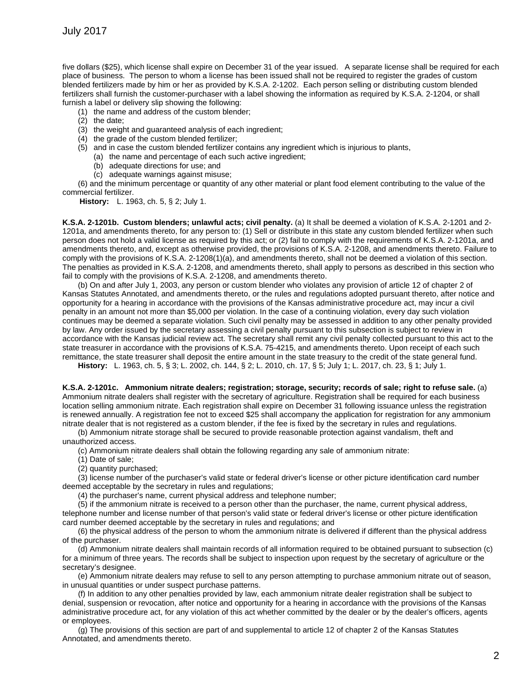five dollars (\$25), which license shall expire on December 31 of the year issued. A separate license shall be required for each place of business. The person to whom a license has been issued shall not be required to register the grades of custom blended fertilizers made by him or her as provided by K.S.A. 2-1202. Each person selling or distributing custom blended fertilizers shall furnish the customer-purchaser with a label showing the information as required by K.S.A. 2-1204, or shall furnish a label or delivery slip showing the following:

- (1) the name and address of the custom blender;
- (2) the date;
- (3) the weight and guaranteed analysis of each ingredient;
- (4) the grade of the custom blended fertilizer;
- (5) and in case the custom blended fertilizer contains any ingredient which is injurious to plants,
	- (a) the name and percentage of each such active ingredient;
	- (b) adequate directions for use; and
	- (c) adequate warnings against misuse;

(6) and the minimum percentage or quantity of any other material or plant food element contributing to the value of the commercial fertilizer.

**History:** L. 1963, ch. 5, § 2; July 1.

**K.S.A. 2-1201b. Custom blenders; unlawful acts; civil penalty.** (a) It shall be deemed a violation of K.S.A. 2-1201 and 2- 1201a, and amendments thereto, for any person to: (1) Sell or distribute in this state any custom blended fertilizer when such person does not hold a valid license as required by this act; or (2) fail to comply with the requirements of K.S.A. 2-1201a, and amendments thereto, and, except as otherwise provided, the provisions of K.S.A. 2-1208, and amendments thereto. Failure to comply with the provisions of K.S.A. 2-1208(1)(a), and amendments thereto, shall not be deemed a violation of this section. The penalties as provided in K.S.A. 2-1208, and amendments thereto, shall apply to persons as described in this section who fail to comply with the provisions of K.S.A. 2-1208, and amendments thereto.

(b) On and after July 1, 2003, any person or custom blender who violates any provision of article 12 of chapter 2 of Kansas Statutes Annotated, and amendments thereto, or the rules and regulations adopted pursuant thereto, after notice and opportunity for a hearing in accordance with the provisions of the Kansas administrative procedure act, may incur a civil penalty in an amount not more than \$5,000 per violation. In the case of a continuing violation, every day such violation continues may be deemed a separate violation. Such civil penalty may be assessed in addition to any other penalty provided by law. Any order issued by the secretary assessing a civil penalty pursuant to this subsection is subject to review in accordance with the Kansas judicial review act. The secretary shall remit any civil penalty collected pursuant to this act to the state treasurer in accordance with the provisions of K.S.A. 75-4215, and amendments thereto. Upon receipt of each such remittance, the state treasurer shall deposit the entire amount in the state treasury to the credit of the state general fund.

**History:** L. 1963, ch. 5, § 3; L. 2002, ch. 144, § 2; L. 2010, ch. 17, § 5; July 1; L. 2017, ch. 23, § 1; July 1.

**K.S.A. 2-1201c. Ammonium nitrate dealers; registration; storage, security; records of sale; right to refuse sale.** (a) Ammonium nitrate dealers shall register with the secretary of agriculture. Registration shall be required for each business location selling ammonium nitrate. Each registration shall expire on December 31 following issuance unless the registration is renewed annually. A registration fee not to exceed \$25 shall accompany the application for registration for any ammonium nitrate dealer that is not registered as a custom blender, if the fee is fixed by the secretary in rules and regulations.

(b) Ammonium nitrate storage shall be secured to provide reasonable protection against vandalism, theft and unauthorized access.

(c) Ammonium nitrate dealers shall obtain the following regarding any sale of ammonium nitrate:

- (1) Date of sale;
- (2) quantity purchased;

(3) license number of the purchaser's valid state or federal driver's license or other picture identification card number deemed acceptable by the secretary in rules and regulations;

(4) the purchaser's name, current physical address and telephone number;

(5) if the ammonium nitrate is received to a person other than the purchaser, the name, current physical address, telephone number and license number of that person's valid state or federal driver's license or other picture identification card number deemed acceptable by the secretary in rules and regulations; and

(6) the physical address of the person to whom the ammonium nitrate is delivered if different than the physical address of the purchaser.

(d) Ammonium nitrate dealers shall maintain records of all information required to be obtained pursuant to subsection (c) for a minimum of three years. The records shall be subject to inspection upon request by the secretary of agriculture or the secretary's designee.

(e) Ammonium nitrate dealers may refuse to sell to any person attempting to purchase ammonium nitrate out of season, in unusual quantities or under suspect purchase patterns.

(f) In addition to any other penalties provided by law, each ammonium nitrate dealer registration shall be subject to denial, suspension or revocation, after notice and opportunity for a hearing in accordance with the provisions of the Kansas administrative procedure act, for any violation of this act whether committed by the dealer or by the dealer's officers, agents or employees.

(g) The provisions of this section are part of and supplemental to article 12 of chapter 2 of the Kansas Statutes Annotated, and amendments thereto.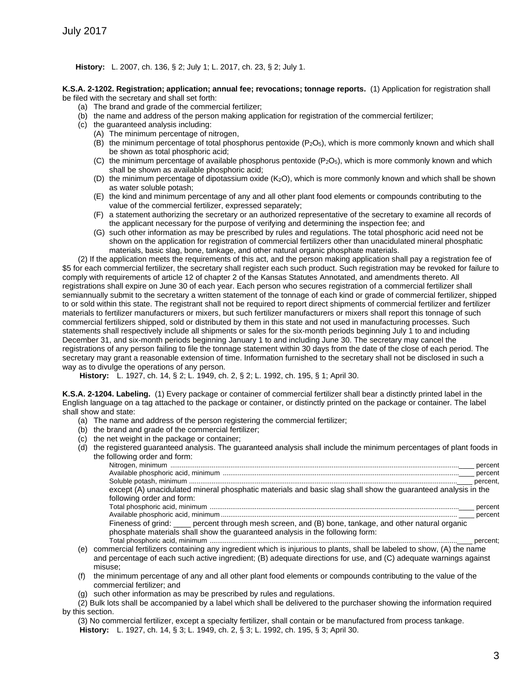#### **History:** L. 2007, ch. 136, § 2; July 1; L. 2017, ch. 23, § 2; July 1.

**K.S.A. 2-1202. Registration; application; annual fee; revocations; tonnage reports.** (1) Application for registration shall be filed with the secretary and shall set forth:

- (a) The brand and grade of the commercial fertilizer;
- (b) the name and address of the person making application for registration of the commercial fertilizer;
- (c) the guaranteed analysis including:
	- (A) The minimum percentage of nitrogen,
		- (B) the minimum percentage of total phosphorus pentoxide (P2O5), which is more commonly known and which shall be shown as total phosphoric acid;
		- (C) the minimum percentage of available phosphorus pentoxide (P2O5), which is more commonly known and which shall be shown as available phosphoric acid;
		- (D) the minimum percentage of dipotassium oxide (K<sub>2</sub>O), which is more commonly known and which shall be shown as water soluble potash;
		- (E) the kind and minimum percentage of any and all other plant food elements or compounds contributing to the value of the commercial fertilizer, expressed separately;
		- (F) a statement authorizing the secretary or an authorized representative of the secretary to examine all records of the applicant necessary for the purpose of verifying and determining the inspection fee; and
		- (G) such other information as may be prescribed by rules and regulations. The total phosphoric acid need not be shown on the application for registration of commercial fertilizers other than unacidulated mineral phosphatic materials, basic slag, bone, tankage, and other natural organic phosphate materials.

(2) If the application meets the requirements of this act, and the person making application shall pay a registration fee of \$5 for each commercial fertilizer, the secretary shall register each such product. Such registration may be revoked for failure to comply with requirements of article 12 of chapter 2 of the Kansas Statutes Annotated, and amendments thereto. All registrations shall expire on June 30 of each year. Each person who secures registration of a commercial fertilizer shall semiannually submit to the secretary a written statement of the tonnage of each kind or grade of commercial fertilizer, shipped to or sold within this state. The registrant shall not be required to report direct shipments of commercial fertilizer and fertilizer materials to fertilizer manufacturers or mixers, but such fertilizer manufacturers or mixers shall report this tonnage of such commercial fertilizers shipped, sold or distributed by them in this state and not used in manufacturing processes. Such statements shall respectively include all shipments or sales for the six-month periods beginning July 1 to and including December 31, and six-month periods beginning January 1 to and including June 30. The secretary may cancel the registrations of any person failing to file the tonnage statement within 30 days from the date of the close of each period. The secretary may grant a reasonable extension of time. Information furnished to the secretary shall not be disclosed in such a way as to divulge the operations of any person.

**History:** L. 1927, ch. 14, § 2; L. 1949, ch. 2, § 2; L. 1992, ch. 195, § 1; April 30.

**K.S.A. 2-1204. Labeling.** (1) Every package or container of commercial fertilizer shall bear a distinctly printed label in the English language on a tag attached to the package or container, or distinctly printed on the package or container. The label shall show and state:

- (a) The name and address of the person registering the commercial fertilizer;
- (b) the brand and grade of the commercial fertilizer;
- (c) the net weight in the package or container;
- (d) the registered guaranteed analysis. The guaranteed analysis shall include the minimum percentages of plant foods in the following order and form:

| except (A) unacidulated mineral phosphatic materials and basic slag shall show the guaranteed analysis in the             |  |
|---------------------------------------------------------------------------------------------------------------------------|--|
| following order and form:                                                                                                 |  |
|                                                                                                                           |  |
|                                                                                                                           |  |
| Fineness of grind: ____ percent through mesh screen, and (B) bone, tankage, and other natural organic                     |  |
| phosphate materials shall show the quaranteed analysis in the following form:                                             |  |
|                                                                                                                           |  |
| mercial fertilizers containing any ingredient which is injurious to plants, shall be labeled to show $(\Lambda)$ the name |  |

- (e) commercial fertilizers containing any ingredient which is injurious to plants, shall be labeled to show, (A) the name and percentage of each such active ingredient; (B) adequate directions for use, and (C) adequate warnings against misuse;
- (f) the minimum percentage of any and all other plant food elements or compounds contributing to the value of the commercial fertilizer; and
- (g) such other information as may be prescribed by rules and regulations.
- (2) Bulk lots shall be accompanied by a label which shall be delivered to the purchaser showing the information required by this section.

(3) No commercial fertilizer, except a specialty fertilizer, shall contain or be manufactured from process tankage. **History:** L. 1927, ch. 14, § 3; L. 1949, ch. 2, § 3; L. 1992, ch. 195, § 3; April 30.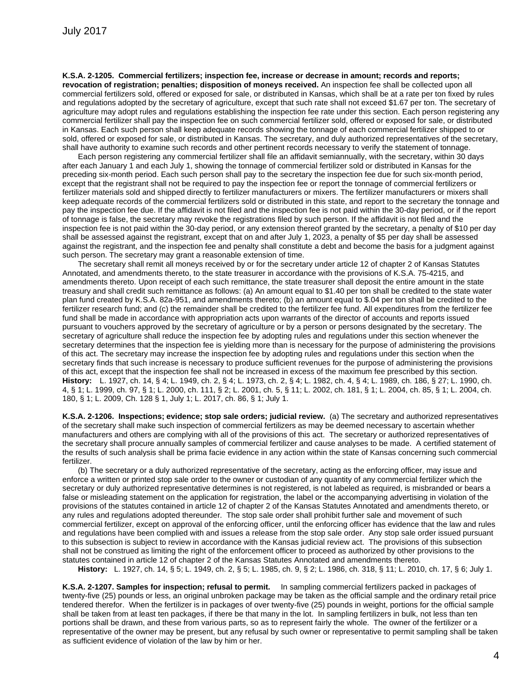**K.S.A. 2-1205. Commercial fertilizers; inspection fee, increase or decrease in amount; records and reports;** 

**revocation of registration; penalties; disposition of moneys received.** An inspection fee shall be collected upon all commercial fertilizers sold, offered or exposed for sale, or distributed in Kansas, which shall be at a rate per ton fixed by rules and regulations adopted by the secretary of agriculture, except that such rate shall not exceed \$1.67 per ton. The secretary of agriculture may adopt rules and regulations establishing the inspection fee rate under this section. Each person registering any commercial fertilizer shall pay the inspection fee on such commercial fertilizer sold, offered or exposed for sale, or distributed in Kansas. Each such person shall keep adequate records showing the tonnage of each commercial fertilizer shipped to or sold, offered or exposed for sale, or distributed in Kansas. The secretary, and duly authorized representatives of the secretary, shall have authority to examine such records and other pertinent records necessary to verify the statement of tonnage.

Each person registering any commercial fertilizer shall file an affidavit semiannually, with the secretary, within 30 days after each January 1 and each July 1, showing the tonnage of commercial fertilizer sold or distributed in Kansas for the preceding six-month period. Each such person shall pay to the secretary the inspection fee due for such six-month period, except that the registrant shall not be required to pay the inspection fee or report the tonnage of commercial fertilizers or fertilizer materials sold and shipped directly to fertilizer manufacturers or mixers. The fertilizer manufacturers or mixers shall keep adequate records of the commercial fertilizers sold or distributed in this state, and report to the secretary the tonnage and pay the inspection fee due. If the affidavit is not filed and the inspection fee is not paid within the 30-day period, or if the report of tonnage is false, the secretary may revoke the registrations filed by such person. If the affidavit is not filed and the inspection fee is not paid within the 30-day period, or any extension thereof granted by the secretary, a penalty of \$10 per day shall be assessed against the registrant, except that on and after July 1, 2023, a penalty of \$5 per day shall be assessed against the registrant, and the inspection fee and penalty shall constitute a debt and become the basis for a judgment against such person. The secretary may grant a reasonable extension of time.

The secretary shall remit all moneys received by or for the secretary under article 12 of chapter 2 of Kansas Statutes Annotated, and amendments thereto, to the state treasurer in accordance with the provisions of K.S.A. 75-4215, and amendments thereto. Upon receipt of each such remittance, the state treasurer shall deposit the entire amount in the state treasury and shall credit such remittance as follows: (a) An amount equal to \$1.40 per ton shall be credited to the state water plan fund created by K.S.A. 82a-951, and amendments thereto; (b) an amount equal to \$.04 per ton shall be credited to the fertilizer research fund; and (c) the remainder shall be credited to the fertilizer fee fund. All expenditures from the fertilizer fee fund shall be made in accordance with appropriation acts upon warrants of the director of accounts and reports issued pursuant to vouchers approved by the secretary of agriculture or by a person or persons designated by the secretary. The secretary of agriculture shall reduce the inspection fee by adopting rules and regulations under this section whenever the secretary determines that the inspection fee is yielding more than is necessary for the purpose of administering the provisions of this act. The secretary may increase the inspection fee by adopting rules and regulations under this section when the secretary finds that such increase is necessary to produce sufficient revenues for the purpose of administering the provisions of this act, except that the inspection fee shall not be increased in excess of the maximum fee prescribed by this section. **History:** L. 1927, ch. 14, § 4; L. 1949, ch. 2, § 4; L. 1973, ch. 2, § 4; L. 1982, ch. 4, § 4; L. 1989, ch. 186, § 27; L. 1990, ch. 4, § 1; L. 1999, ch. 97, § 1; L. 2000, ch. 111, § 2; L. 2001, ch. 5, § 11; L. 2002, ch. 181, § 1; L. 2004, ch. 85, § 1; L. 2004, ch. 180, § 1; L. 2009, Ch. 128 § 1, July 1; L. 2017, ch. 86, § 1; July 1.

**K.S.A. 2-1206. Inspections; evidence; stop sale orders; judicial review.** (a) The secretary and authorized representatives of the secretary shall make such inspection of commercial fertilizers as may be deemed necessary to ascertain whether manufacturers and others are complying with all of the provisions of this act. The secretary or authorized representatives of the secretary shall procure annually samples of commercial fertilizer and cause analyses to be made. A certified statement of the results of such analysis shall be prima facie evidence in any action within the state of Kansas concerning such commercial fertilizer.

(b) The secretary or a duly authorized representative of the secretary, acting as the enforcing officer, may issue and enforce a written or printed stop sale order to the owner or custodian of any quantity of any commercial fertilizer which the secretary or duly authorized representative determines is not registered, is not labeled as required, is misbranded or bears a false or misleading statement on the application for registration, the label or the accompanying advertising in violation of the provisions of the statutes contained in article 12 of chapter 2 of the Kansas Statutes Annotated and amendments thereto, or any rules and regulations adopted thereunder. The stop sale order shall prohibit further sale and movement of such commercial fertilizer, except on approval of the enforcing officer, until the enforcing officer has evidence that the law and rules and regulations have been complied with and issues a release from the stop sale order. Any stop sale order issued pursuant to this subsection is subject to review in accordance with the Kansas judicial review act. The provisions of this subsection shall not be construed as limiting the right of the enforcement officer to proceed as authorized by other provisions to the statutes contained in article 12 of chapter 2 of the Kansas Statutes Annotated and amendments thereto.

**History:** L. 1927, ch. 14, § 5; L. 1949, ch. 2, § 5; L. 1985, ch. 9, § 2; L. 1986, ch. 318, § 11; L. 2010, ch. 17, § 6; July 1.

**K.S.A. 2-1207. Samples for inspection; refusal to permit.** In sampling commercial fertilizers packed in packages of twenty-five (25) pounds or less, an original unbroken package may be taken as the official sample and the ordinary retail price tendered therefor. When the fertilizer is in packages of over twenty-five (25) pounds in weight, portions for the official sample shall be taken from at least ten packages, if there be that many in the lot. In sampling fertilizers in bulk, not less than ten portions shall be drawn, and these from various parts, so as to represent fairly the whole. The owner of the fertilizer or a representative of the owner may be present, but any refusal by such owner or representative to permit sampling shall be taken as sufficient evidence of violation of the law by him or her.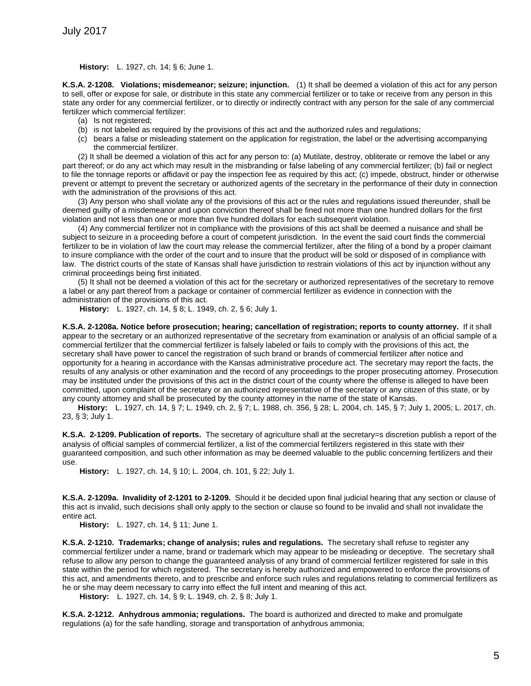**History:** L. 1927, ch. 14; § 6; June 1.

**K.S.A. 2-1208. Violations; misdemeanor; seizure; injunction.** (1) It shall be deemed a violation of this act for any person to sell, offer or expose for sale, or distribute in this state any commercial fertilizer or to take or receive from any person in this state any order for any commercial fertilizer, or to directly or indirectly contract with any person for the sale of any commercial fertilizer which commercial fertilizer:

- (a) Is not registered;
- (b) is not labeled as required by the provisions of this act and the authorized rules and regulations;
- (c) bears a false or misleading statement on the application for registration, the label or the advertising accompanying the commercial fertilizer.

(2) It shall be deemed a violation of this act for any person to: (a) Mutilate, destroy, obliterate or remove the label or any part thereof; or do any act which may result in the misbranding or false labeling of any commercial fertilizer; (b) fail or neglect to file the tonnage reports or affidavit or pay the inspection fee as required by this act; (c) impede, obstruct, hinder or otherwise prevent or attempt to prevent the secretary or authorized agents of the secretary in the performance of their duty in connection with the administration of the provisions of this act.

(3) Any person who shall violate any of the provisions of this act or the rules and regulations issued thereunder, shall be deemed guilty of a misdemeanor and upon conviction thereof shall be fined not more than one hundred dollars for the first violation and not less than one or more than five hundred dollars for each subsequent violation.

(4) Any commercial fertilizer not in compliance with the provisions of this act shall be deemed a nuisance and shall be subject to seizure in a proceeding before a court of competent jurisdiction. In the event the said court finds the commercial fertilizer to be in violation of law the court may release the commercial fertilizer, after the filing of a bond by a proper claimant to insure compliance with the order of the court and to insure that the product will be sold or disposed of in compliance with law. The district courts of the state of Kansas shall have jurisdiction to restrain violations of this act by injunction without any criminal proceedings being first initiated.

(5) It shall not be deemed a violation of this act for the secretary or authorized representatives of the secretary to remove a label or any part thereof from a package or container of commercial fertilizer as evidence in connection with the administration of the provisions of this act.

**History:** L. 1927, ch. 14, § 8; L. 1949, ch. 2, § 6; July 1.

**K.S.A. 2-1208a. Notice before prosecution; hearing; cancellation of registration; reports to county attorney.** If it shall appear to the secretary or an authorized representative of the secretary from examination or analysis of an official sample of a commercial fertilizer that the commercial fertilizer is falsely labeled or fails to comply with the provisions of this act, the secretary shall have power to cancel the registration of such brand or brands of commercial fertilizer after notice and opportunity for a hearing in accordance with the Kansas administrative procedure act. The secretary may report the facts, the results of any analysis or other examination and the record of any proceedings to the proper prosecuting attorney. Prosecution may be instituted under the provisions of this act in the district court of the county where the offense is alleged to have been committed, upon complaint of the secretary or an authorized representative of the secretary or any citizen of this state, or by any county attorney and shall be prosecuted by the county attorney in the name of the state of Kansas.

**History:** L. 1927, ch. 14, § 7; L. 1949, ch. 2, § 7; L. 1988, ch. 356, § 28; L. 2004, ch. 145, § 7; July 1, 2005; L. 2017, ch. 23, § 3; July 1.

**K.S.A. 2-1209. Publication of reports.** The secretary of agriculture shall at the secretary=s discretion publish a report of the analysis of official samples of commercial fertilizer, a list of the commercial fertilizers registered in this state with their guaranteed composition, and such other information as may be deemed valuable to the public concerning fertilizers and their use.

**History:** L. 1927, ch. 14, § 10; L. 2004, ch. 101, § 22; July 1.

**K.S.A. 2-1209a. Invalidity of 2-1201 to 2-1209.** Should it be decided upon final judicial hearing that any section or clause of this act is invalid, such decisions shall only apply to the section or clause so found to be invalid and shall not invalidate the entire act.

**History:** L. 1927, ch. 14, § 11; June 1.

**K.S.A. 2-1210. Trademarks; change of analysis; rules and regulations.** The secretary shall refuse to register any commercial fertilizer under a name, brand or trademark which may appear to be misleading or deceptive. The secretary shall refuse to allow any person to change the guaranteed analysis of any brand of commercial fertilizer registered for sale in this state within the period for which registered. The secretary is hereby authorized and empowered to enforce the provisions of this act, and amendments thereto, and to prescribe and enforce such rules and regulations relating to commercial fertilizers as he or she may deem necessary to carry into effect the full intent and meaning of this act.

**History:** L. 1927, ch. 14, § 9; L. 1949, ch. 2, § 8; July 1.

**K.S.A. 2-1212. Anhydrous ammonia; regulations.** The board is authorized and directed to make and promulgate regulations (a) for the safe handling, storage and transportation of anhydrous ammonia;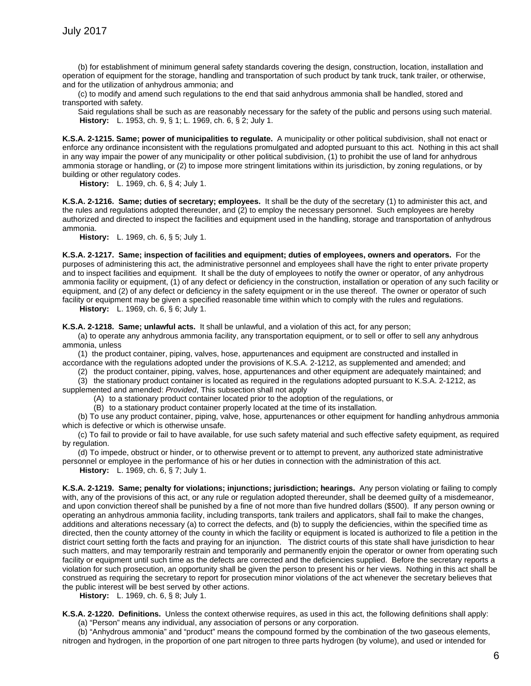(b) for establishment of minimum general safety standards covering the design, construction, location, installation and operation of equipment for the storage, handling and transportation of such product by tank truck, tank trailer, or otherwise, and for the utilization of anhydrous ammonia; and

(c) to modify and amend such regulations to the end that said anhydrous ammonia shall be handled, stored and transported with safety.

Said regulations shall be such as are reasonably necessary for the safety of the public and persons using such material. **History:** L. 1953, ch. 9, § 1; L. 1969, ch. 6, § 2; July 1.

**K.S.A. 2-1215. Same; power of municipalities to regulate.** A municipality or other political subdivision, shall not enact or enforce any ordinance inconsistent with the regulations promulgated and adopted pursuant to this act. Nothing in this act shall in any way impair the power of any municipality or other political subdivision, (1) to prohibit the use of land for anhydrous ammonia storage or handling, or (2) to impose more stringent limitations within its jurisdiction, by zoning regulations, or by building or other regulatory codes.

**History:** L. 1969, ch. 6, § 4; July 1.

**K.S.A. 2-1216. Same; duties of secretary; employees.** It shall be the duty of the secretary (1) to administer this act, and the rules and regulations adopted thereunder, and (2) to employ the necessary personnel. Such employees are hereby authorized and directed to inspect the facilities and equipment used in the handling, storage and transportation of anhydrous ammonia.

**History:** L. 1969, ch. 6, § 5; July 1.

**K.S.A. 2-1217. Same; inspection of facilities and equipment; duties of employees, owners and operators.** For the purposes of administering this act, the administrative personnel and employees shall have the right to enter private property and to inspect facilities and equipment. It shall be the duty of employees to notify the owner or operator, of any anhydrous ammonia facility or equipment, (1) of any defect or deficiency in the construction, installation or operation of any such facility or equipment, and (2) of any defect or deficiency in the safety equipment or in the use thereof. The owner or operator of such facility or equipment may be given a specified reasonable time within which to comply with the rules and regulations.

**History:** L. 1969, ch. 6, § 6; July 1.

**K.S.A. 2-1218. Same; unlawful acts.** It shall be unlawful, and a violation of this act, for any person;

(a) to operate any anhydrous ammonia facility, any transportation equipment, or to sell or offer to sell any anhydrous ammonia, unless

(1) the product container, piping, valves, hose, appurtenances and equipment are constructed and installed in accordance with the regulations adopted under the provisions of K.S.A. 2-1212, as supplemented and amended; and

(2) the product container, piping, valves, hose, appurtenances and other equipment are adequately maintained; and

(3) the stationary product container is located as required in the regulations adopted pursuant to K.S.A. 2-1212, as supplemented and amended: *Provided*, This subsection shall not apply

(A) to a stationary product container located prior to the adoption of the regulations, or

(B) to a stationary product container properly located at the time of its installation.

(b) To use any product container, piping, valve, hose, appurtenances or other equipment for handling anhydrous ammonia which is defective or which is otherwise unsafe.

(c) To fail to provide or fail to have available, for use such safety material and such effective safety equipment, as required by regulation.

(d) To impede, obstruct or hinder, or to otherwise prevent or to attempt to prevent, any authorized state administrative personnel or employee in the performance of his or her duties in connection with the administration of this act.

**History:** L. 1969, ch. 6, § 7; July 1.

**K.S.A. 2-1219. Same; penalty for violations; injunctions; jurisdiction; hearings.** Any person violating or failing to comply with, any of the provisions of this act, or any rule or regulation adopted thereunder, shall be deemed guilty of a misdemeanor, and upon conviction thereof shall be punished by a fine of not more than five hundred dollars (\$500). If any person owning or operating an anhydrous ammonia facility, including transports, tank trailers and applicators, shall fail to make the changes, additions and alterations necessary (a) to correct the defects, and (b) to supply the deficiencies, within the specified time as directed, then the county attorney of the county in which the facility or equipment is located is authorized to file a petition in the district court setting forth the facts and praying for an injunction. The district courts of this state shall have jurisdiction to hear such matters, and may temporarily restrain and temporarily and permanently enjoin the operator or owner from operating such facility or equipment until such time as the defects are corrected and the deficiencies supplied. Before the secretary reports a violation for such prosecution, an opportunity shall be given the person to present his or her views. Nothing in this act shall be construed as requiring the secretary to report for prosecution minor violations of the act whenever the secretary believes that the public interest will be best served by other actions.

**History:** L. 1969, ch. 6, § 8; July 1.

**K.S.A. 2-1220. Definitions.** Unless the context otherwise requires, as used in this act, the following definitions shall apply: (a) "Person" means any individual, any association of persons or any corporation.

(b) "Anhydrous ammonia" and "product" means the compound formed by the combination of the two gaseous elements, nitrogen and hydrogen, in the proportion of one part nitrogen to three parts hydrogen (by volume), and used or intended for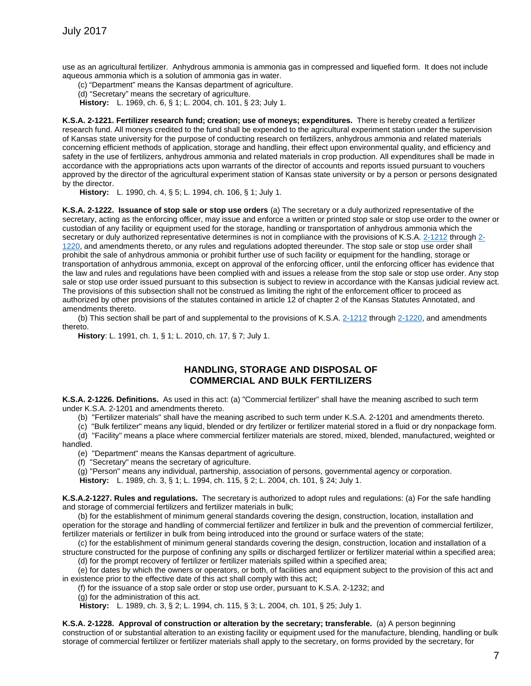use as an agricultural fertilizer. Anhydrous ammonia is ammonia gas in compressed and liquefied form. It does not include aqueous ammonia which is a solution of ammonia gas in water.

(c) "Department" means the Kansas department of agriculture.

(d) "Secretary" means the secretary of agriculture.

**History:** L. 1969, ch. 6, § 1; L. 2004, ch. 101, § 23; July 1.

**K.S.A. 2-1221. Fertilizer research fund; creation; use of moneys; expenditures.** There is hereby created a fertilizer research fund. All moneys credited to the fund shall be expended to the agricultural experiment station under the supervision of Kansas state university for the purpose of conducting research on fertilizers, anhydrous ammonia and related materials concerning efficient methods of application, storage and handling, their effect upon environmental quality, and efficiency and safety in the use of fertilizers, anhydrous ammonia and related materials in crop production. All expenditures shall be made in accordance with the appropriations acts upon warrants of the director of accounts and reports issued pursuant to vouchers approved by the director of the agricultural experiment station of Kansas state university or by a person or persons designated by the director.

**History:** L. 1990, ch. 4, § 5; L. 1994, ch. 106, § 1; July 1.

**K.S.A. 2-1222. Issuance of stop sale or stop use orders** (a) The secretary or a duly authorized representative of the secretary, acting as the enforcing officer, may issue and enforce a written or printed stop sale or stop use order to the owner or custodian of any facility or equipment used for the storage, handling or transportation of anhydrous ammonia which the secretary or duly authorized representative determines is not in compliance with the provisions of K.S.A. [2-1212](http://www.ksrevisor.org/statutes/chapters/ch02/002_012_0012.html) through [2-](http://www.ksrevisor.org/statutes/chapters/ch02/002_012_0020.html) [1220,](http://www.ksrevisor.org/statutes/chapters/ch02/002_012_0020.html) and amendments thereto, or any rules and regulations adopted thereunder. The stop sale or stop use order shall prohibit the sale of anhydrous ammonia or prohibit further use of such facility or equipment for the handling, storage or transportation of anhydrous ammonia, except on approval of the enforcing officer, until the enforcing officer has evidence that the law and rules and regulations have been complied with and issues a release from the stop sale or stop use order. Any stop sale or stop use order issued pursuant to this subsection is subject to review in accordance with the Kansas judicial review act. The provisions of this subsection shall not be construed as limiting the right of the enforcement officer to proceed as authorized by other provisions of the statutes contained in article 12 of chapter 2 of the Kansas Statutes Annotated, and amendments thereto.

(b) This section shall be part of and supplemental to the provisions of K.S.A. [2-1212](http://www.ksrevisor.org/statutes/chapters/ch02/002_012_0012.html) through [2-1220,](http://www.ksrevisor.org/statutes/chapters/ch02/002_012_0020.html) and amendments thereto.

**History**: L. 1991, ch. 1, § 1; L. 2010, ch. 17, § 7; July 1.

### **HANDLING, STORAGE AND DISPOSAL OF COMMERCIAL AND BULK FERTILIZERS**

**K.S.A. 2-1226. Definitions.** As used in this act: (a) "Commercial fertilizer" shall have the meaning ascribed to such term under K.S.A. 2-1201 and amendments thereto.

(b) "Fertilizer materials" shall have the meaning ascribed to such term under K.S.A. 2-1201 and amendments thereto.

(c) "Bulk fertilizer" means any liquid, blended or dry fertilizer or fertilizer material stored in a fluid or dry nonpackage form.

(d) "Facility" means a place where commercial fertilizer materials are stored, mixed, blended, manufactured, weighted or handled.

(e) "Department" means the Kansas department of agriculture.

(f) "Secretary" means the secretary of agriculture.

(g) "Person" means any individual, partnership, association of persons, governmental agency or corporation.

**History:** L. 1989, ch. 3, § 1; L. 1994, ch. 115, § 2; L. 2004, ch. 101, § 24; July 1.

**K.S.A.2-1227. Rules and regulations.** The secretary is authorized to adopt rules and regulations: (a) For the safe handling and storage of commercial fertilizers and fertilizer materials in bulk;

(b) for the establishment of minimum general standards covering the design, construction, location, installation and operation for the storage and handling of commercial fertilizer and fertilizer in bulk and the prevention of commercial fertilizer, fertilizer materials or fertilizer in bulk from being introduced into the ground or surface waters of the state;

(c) for the establishment of minimum general standards covering the design, construction, location and installation of a structure constructed for the purpose of confining any spills or discharged fertilizer or fertilizer material within a specified area;

(d) for the prompt recovery of fertilizer or fertilizer materials spilled within a specified area;

(e) for dates by which the owners or operators, or both, of facilities and equipment subject to the provision of this act and in existence prior to the effective date of this act shall comply with this act;

(f) for the issuance of a stop sale order or stop use order, pursuant to K.S.A. 2-1232; and

(g) for the administration of this act.

**History:** L. 1989, ch. 3, § 2; L. 1994, ch. 115, § 3; L. 2004, ch. 101, § 25; July 1.

**K.S.A. 2-1228. Approval of construction or alteration by the secretary; transferable.** (a) A person beginning construction of or substantial alteration to an existing facility or equipment used for the manufacture, blending, handling or bulk storage of commercial fertilizer or fertilizer materials shall apply to the secretary, on forms provided by the secretary, for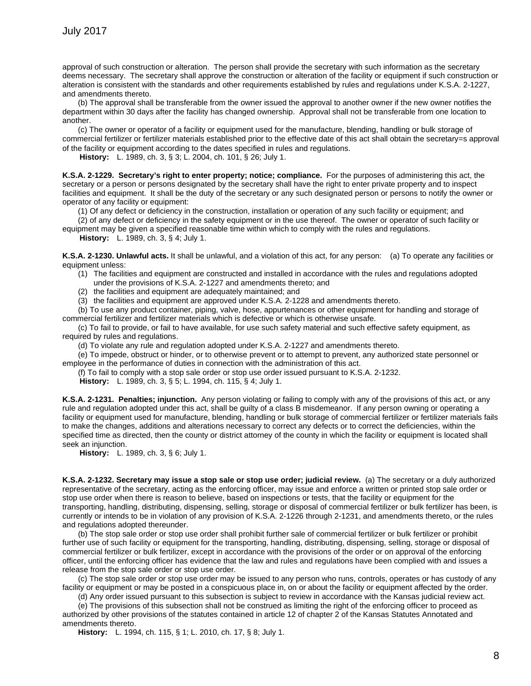approval of such construction or alteration. The person shall provide the secretary with such information as the secretary deems necessary. The secretary shall approve the construction or alteration of the facility or equipment if such construction or alteration is consistent with the standards and other requirements established by rules and regulations under K.S.A. 2-1227, and amendments thereto.

(b) The approval shall be transferable from the owner issued the approval to another owner if the new owner notifies the department within 30 days after the facility has changed ownership. Approval shall not be transferable from one location to another.

(c) The owner or operator of a facility or equipment used for the manufacture, blending, handling or bulk storage of commercial fertilizer or fertilizer materials established prior to the effective date of this act shall obtain the secretary=s approval of the facility or equipment according to the dates specified in rules and regulations.

**History:** L. 1989, ch. 3, § 3; L. 2004, ch. 101, § 26; July 1.

**K.S.A. 2-1229. Secretary's right to enter property; notice; compliance.** For the purposes of administering this act, the secretary or a person or persons designated by the secretary shall have the right to enter private property and to inspect facilities and equipment. It shall be the duty of the secretary or any such designated person or persons to notify the owner or operator of any facility or equipment:

(1) Of any defect or deficiency in the construction, installation or operation of any such facility or equipment; and

(2) of any defect or deficiency in the safety equipment or in the use thereof. The owner or operator of such facility or equipment may be given a specified reasonable time within which to comply with the rules and regulations.

**History:** L. 1989, ch. 3, § 4; July 1.

**K.S.A. 2-1230. Unlawful acts.** It shall be unlawful, and a violation of this act, for any person: (a) To operate any facilities or equipment unless:

- (1) The facilities and equipment are constructed and installed in accordance with the rules and regulations adopted under the provisions of K.S.A. 2-1227 and amendments thereto; and
- (2) the facilities and equipment are adequately maintained; and

(3) the facilities and equipment are approved under K.S.A. 2-1228 and amendments thereto.

(b) To use any product container, piping, valve, hose, appurtenances or other equipment for handling and storage of commercial fertilizer and fertilizer materials which is defective or which is otherwise unsafe.

(c) To fail to provide, or fail to have available, for use such safety material and such effective safety equipment, as required by rules and regulations.

(d) To violate any rule and regulation adopted under K.S.A. 2-1227 and amendments thereto.

(e) To impede, obstruct or hinder, or to otherwise prevent or to attempt to prevent, any authorized state personnel or employee in the performance of duties in connection with the administration of this act.

(f) To fail to comply with a stop sale order or stop use order issued pursuant to K.S.A. 2-1232.

**History:** L. 1989, ch. 3, § 5; L. 1994, ch. 115, § 4; July 1.

**K.S.A. 2-1231. Penalties; injunction.** Any person violating or failing to comply with any of the provisions of this act, or any rule and regulation adopted under this act, shall be guilty of a class B misdemeanor. If any person owning or operating a facility or equipment used for manufacture, blending, handling or bulk storage of commercial fertilizer or fertilizer materials fails to make the changes, additions and alterations necessary to correct any defects or to correct the deficiencies, within the specified time as directed, then the county or district attorney of the county in which the facility or equipment is located shall seek an injunction.

**History:** L. 1989, ch. 3, § 6; July 1.

**K.S.A. 2-1232. Secretary may issue a stop sale or stop use order; judicial review.** (a) The secretary or a duly authorized representative of the secretary, acting as the enforcing officer, may issue and enforce a written or printed stop sale order or stop use order when there is reason to believe, based on inspections or tests, that the facility or equipment for the transporting, handling, distributing, dispensing, selling, storage or disposal of commercial fertilizer or bulk fertilizer has been, is currently or intends to be in violation of any provision of K.S.A. 2-1226 through 2-1231, and amendments thereto, or the rules and regulations adopted thereunder.

(b) The stop sale order or stop use order shall prohibit further sale of commercial fertilizer or bulk fertilizer or prohibit further use of such facility or equipment for the transporting, handling, distributing, dispensing, selling, storage or disposal of commercial fertilizer or bulk fertilizer, except in accordance with the provisions of the order or on approval of the enforcing officer, until the enforcing officer has evidence that the law and rules and regulations have been complied with and issues a release from the stop sale order or stop use order.

(c) The stop sale order or stop use order may be issued to any person who runs, controls, operates or has custody of any facility or equipment or may be posted in a conspicuous place in, on or about the facility or equipment affected by the order.

(d) Any order issued pursuant to this subsection is subject to review in accordance with the Kansas judicial review act.

(e) The provisions of this subsection shall not be construed as limiting the right of the enforcing officer to proceed as authorized by other provisions of the statutes contained in article 12 of chapter 2 of the Kansas Statutes Annotated and amendments thereto.

**History:** L. 1994, ch. 115, § 1; L. 2010, ch. 17, § 8; July 1.